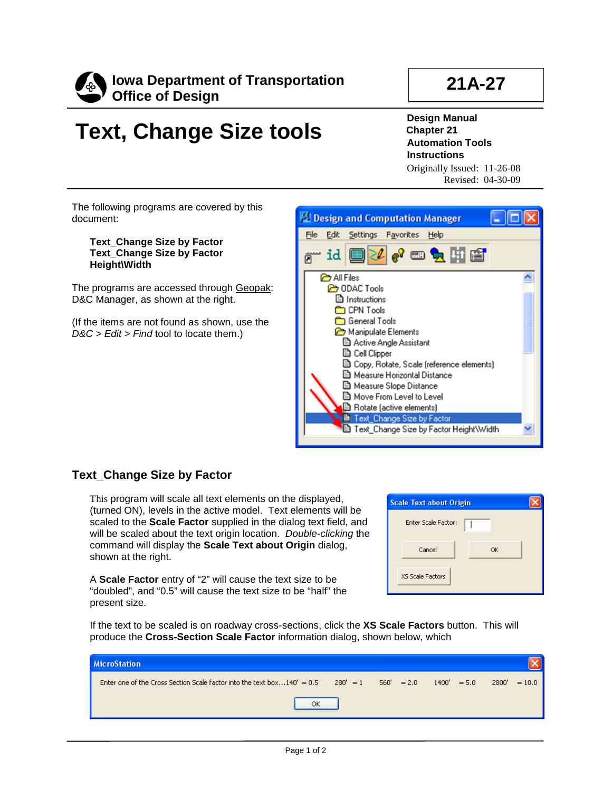

## **21A-27**

## **Text, Change Size tools**

**Design Manual Chapter 21 Automation Tools Instructions** Originally Issued: 11-26-08

Revised: 04-30-09

The following programs are covered by this document:

**Text\_Change Size by Factor Text\_Change Size by Factor Height\Width**

The programs are accessed through Geopak: D&C Manager, as shown at the right.

(If the items are not found as shown, use the *D&C > Edit > Find* tool to locate them.)



## **Text\_Change Size by Factor**

This program will scale all text elements on the displayed, (turned ON), levels in the active model. Text elements will be scaled to the **Scale Factor** supplied in the dialog text field, and will be scaled about the text origin location. *Double-clicking* the command will display the **Scale Text about Origin** dialog, shown at the right.

A **Scale Factor** entry of "2" will cause the text size to be "doubled", and "0.5" will cause the text size to be "half" the present size.

| <b>Scale Text about Origin</b> |    |  |
|--------------------------------|----|--|
| <b>Enter Scale Factor:</b>     |    |  |
| Cancel                         | OK |  |
| XS Scale Factors               |    |  |

If the text to be scaled is on roadway cross-sections, click the **XS Scale Factors** button. This will produce the **Cross-Section Scale Factor** information dialog, shown below, which

| <b>MicroStation</b>                                                                      |                                                       |
|------------------------------------------------------------------------------------------|-------------------------------------------------------|
| Enter one of the Cross Section Scale factor into the text box $140' = 0.5$<br>$280' = 1$ | $560' = 2.0$<br>2800'<br>1400'<br>$= 5.0$<br>$= 10.0$ |
| ОК                                                                                       |                                                       |